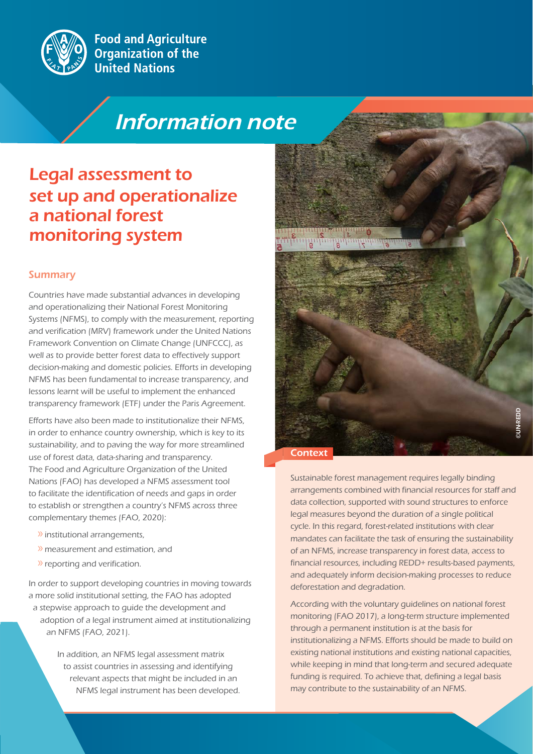

**Food and Agriculture Organization of the United Nations** 

# Information note Information note

## Legal assessment to set up and operationalize a national forest monitoring system

#### **Summary**

Countries have made substantial advances in developing and operationalizing their National Forest Monitoring Systems (NFMS), to comply with the measurement, reporting and verification (MRV) framework under the United Nations Framework Convention on Climate Change (UNFCCC), as well as to provide better forest data to effectively support decision-making and domestic policies. Efforts in developing NFMS has been fundamental to increase transparency, and lessons learnt will be useful to implement the enhanced transparency framework (ETF) under the Paris Agreement.

Efforts have also been made to institutionalize their NFMS, in order to enhance country ownership, which is key to its sustainability, and to paving the way for more streamlined use of forest data, data-sharing and transparency. The Food and Agriculture Organization of the United Nations (FAO) has developed a NFMS assessment tool to facilitate the identification of needs and gaps in order to establish or strengthen a country's NFMS across three complementary themes (FAO, 2020):

- » institutional arrangements,
- » measurement and estimation, and
- » reporting and verification.

In order to support developing countries in moving towards a more solid institutional setting, the FAO has adopted a stepwise approach to guide the development and adoption of a legal instrument aimed at institutionalizing an NFMS (FAO, 2021).

> In addition, an NFMS legal assessment matrix to assist countries in assessing and identifying relevant aspects that might be included in an NFMS legal instrument has been developed.



Sustainable forest management requires legally binding arrangements combined with financial resources for staff and data collection, supported with sound structures to enforce legal measures beyond the duration of a single political cycle. In this regard, forest-related institutions with clear mandates can facilitate the task of ensuring the sustainability of an NFMS, increase transparency in forest data, access to financial resources, including REDD+ results-based payments, and adequately inform decision-making processes to reduce deforestation and degradation.

According with the voluntary guidelines on national forest monitoring (FAO 2017), a long-term structure implemented through a permanent institution is at the basis for institutionalizing a NFMS. Efforts should be made to build on existing national institutions and existing national capacities, while keeping in mind that long-term and secured adequate funding is required. To achieve that, defining a legal basis may contribute to the sustainability of an NFMS.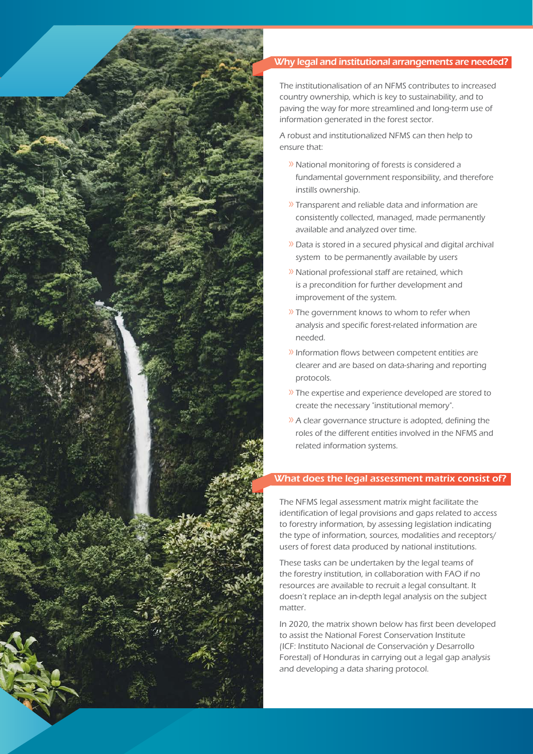

#### Why legal and institutional arrangements are needed?

The institutionalisation of an NFMS contributes to increased country ownership, which is key to sustainability, and to paving the way for more streamlined and long-term use of information generated in the forest sector.

A robust and institutionalized NFMS can then help to ensure that:

- » National monitoring of forests is considered a fundamental government responsibility, and therefore instills ownership.
- » Transparent and reliable data and information are consistently collected, managed, made permanently available and analyzed over time.
- » Data is stored in a secured physical and digital archival system to be permanently available by users
- » National professional staff are retained, which is a precondition for further development and improvement of the system.
- » The government knows to whom to refer when analysis and specific forest-related information are needed.
- » Information flows between competent entities are clearer and are based on data-sharing and reporting protocols.
- » The expertise and experience developed are stored to create the necessary "institutional memory".
- » A clear governance structure is adopted, defining the roles of the different entities involved in the NFMS and related information systems.

#### What does the legal assessment matrix consist of?

The NFMS legal assessment matrix might facilitate the identification of legal provisions and gaps related to access to forestry information, by assessing legislation indicating the type of information, sources, modalities and receptors/ users of forest data produced by national institutions.

These tasks can be undertaken by the legal teams of the forestry institution, in collaboration with FAO if no resources are available to recruit a legal consultant. It doesn't replace an in-depth legal analysis on the subject matter.

In 2020, the matrix shown below has first been developed to assist the National Forest Conservation Institute (ICF: Instituto Nacional de Conservación y Desarrollo Forestal) of Honduras in carrying out a legal gap analysis and developing a data sharing protocol.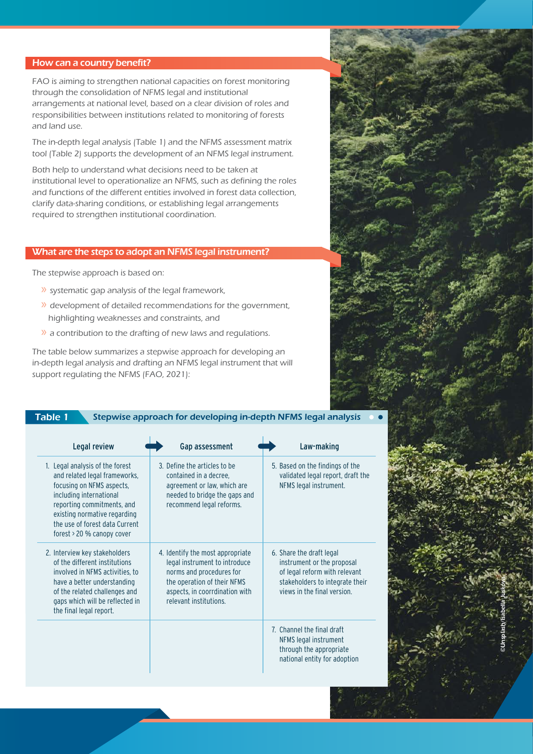#### How can a country benefit?

FAO is aiming to strengthen national capacities on forest monitoring through the consolidation of NFMS legal and institutional arrangements at national level, based on a clear division of roles and responsibilities between institutions related to monitoring of forests and land use.

The in-depth legal analysis (Table 1) and the NFMS assessment matrix tool (Table 2) supports the development of an NFMS legal instrument.

Both help to understand what decisions need to be taken at institutional level to operationalize an NFMS, such as defining the roles and functions of the different entities involved in forest data collection, clarify data-sharing conditions, or establishing legal arrangements required to strengthen institutional coordination.

#### What are the steps to adopt an NFMS legal instrument?

The stepwise approach is based on:

- » systematic gap analysis of the legal framework,
- » development of detailed recommendations for the government, highlighting weaknesses and constraints, and
- » a contribution to the drafting of new laws and regulations.

The table below summarizes a stepwise approach for developing an in-depth legal analysis and drafting an NFMS legal instrument that will support regulating the NFMS (FAO, 2021):

| Legal review                                                                                                                                                                                                                                           | Gap assessment                                                                                                                                                                           | Law-making                                                                                                                                                |
|--------------------------------------------------------------------------------------------------------------------------------------------------------------------------------------------------------------------------------------------------------|------------------------------------------------------------------------------------------------------------------------------------------------------------------------------------------|-----------------------------------------------------------------------------------------------------------------------------------------------------------|
| 1. Legal analysis of the forest<br>and related legal frameworks,<br>focusing on NFMS aspects,<br>including international<br>reporting commitments, and<br>existing normative regarding<br>the use of forest data Current<br>forest > 20 % canopy cover | 3. Define the articles to be<br>contained in a decree.<br>agreement or law, which are<br>needed to bridge the gaps and<br>recommend legal reforms.                                       | 5. Based on the findings of the<br>validated legal report, draft the<br>NFMS legal instrument.                                                            |
| 2. Interview key stakeholders<br>of the different institutions<br>involved in NFMS activities, to<br>have a better understanding<br>of the related challenges and<br>gaps which will be reflected in<br>the final legal report.                        | 4. Identify the most appropriate<br>legal instrument to introduce<br>norms and procedures for<br>the operation of their NFMS<br>aspects, in coorrdination with<br>relevant institutions. | 6. Share the draft legal<br>instrument or the proposal<br>of legal reform with relevant<br>stakeholders to integrate their<br>views in the final version. |
|                                                                                                                                                                                                                                                        |                                                                                                                                                                                          | 7. Channel the final draft<br>NFMS legal instrument<br>through the appropriate<br>national entity for adoption                                            |

©Unsplash/Isabella Juskova